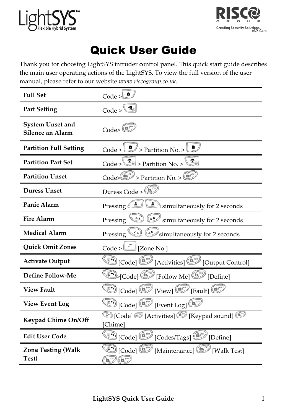



# Quick User Guide

Thank you for choosing LightSYS intruder control panel. This quick start guide describes the main user operating actions of the LightSYS. To view the full version of the user manual, please refer to our website www.riscogroup.co.uk.

| <b>Full Set</b>                             | a<br>$Code > \Box$                                                                                                                          |  |
|---------------------------------------------|---------------------------------------------------------------------------------------------------------------------------------------------|--|
| <b>Part Setting</b>                         | $\langle \, \vec{b}_{\scriptscriptstyle (\!\varsigma\!)} $<br>Code >                                                                        |  |
| <b>System Unset and</b><br>Silence an Alarm | $Code \times \rightarrow$                                                                                                                   |  |
| <b>Partition Full Setting</b>               | Code > $\bigcup$ > Partition No. > $\bigcup$                                                                                                |  |
| <b>Partition Part Set</b>                   | $\blacksquare_{\odot}\mskip-4mu $<br>Code > $\boxed{\triangleleft}$ > Partition No. >                                                       |  |
| <b>Partition Unset</b>                      | $\text{Code}\left(\bigcirc^{\text{max}}\right)$ > Partition No. > $\left(\bigcirc^{\text{max}}\right)$                                      |  |
| <b>Duress Unset</b>                         | Duress Code >                                                                                                                               |  |
| Panic Alarm                                 | $\triangle$ simultaneously for 2 seconds<br>Pressing                                                                                        |  |
| <b>Fire Alarm</b>                           | $\binom{48}{6}$<br>simultaneously for 2 seconds<br>Pressing                                                                                 |  |
| <b>Medical Alarm</b>                        | $\begin{smallmatrix} \mathcal{T} \end{smallmatrix}$ (+9<br>Pressing<br>simultaneously for 2 seconds                                         |  |
| <b>Ouick Omit Zones</b>                     | $\text{Code} > \boxed{\uparrow}$ [Zone No.]                                                                                                 |  |
| <b>Activate Output</b>                      | [Output Control] [Code] [Output Control]                                                                                                    |  |
| Define Follow-Me                            | [Occe] E [Follow Me] [Occupation]                                                                                                           |  |
| <b>View Fault</b>                           | $\text{End}(\text{Code}(\text{C})\text{View})$ [Fault] $\text{C}^\infty$                                                                    |  |
| <b>View Event Log</b>                       | $\Box$ [Code] $\Box$ [Event Log] $\Box$                                                                                                     |  |
| Keypad Chime On/Off                         | Code] © [Activities] © [Keypad sound] ©<br>[Chime]                                                                                          |  |
| <b>Edit User Code</b>                       | $\overset{\bullet}{\longrightarrow}$ [Code] $\overset{\bullet}{\longrightarrow}$ [Codes/Tags] $\overset{\bullet}{\longrightarrow}$ [Define] |  |
| <b>Zone Testing (Walk</b><br>Test)          | <b>D</b> [Code] <b>(6/2)</b> [Maintenance] <b>(6/2)</b> [Walk Test]                                                                         |  |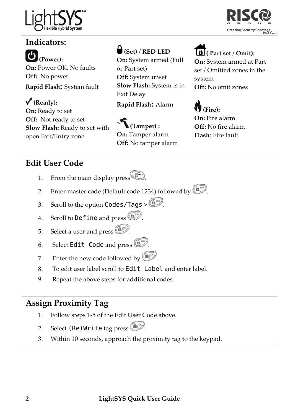



# Indicators:

 (Power): On: Power OK, No faults Off: No power Rapid Flash: System fault

 $\sqrt{\text{(Ready)}}$ : On: Ready to set Off: Not ready to set Slow Flash: Ready to set with open Exit/Entry zone

# $\bigcup$  (Set) / RED LED

On: System armed (Full or Part set) Off: System unset Slow Flash: System is in Exit Delay

Rapid Flash: Alarm

 (Tamper) : On: Tamper alarm Off: No tamper alarm

## $\bigoplus$  (Part set / Omit):

On: System armed at Part set / Omitted zones in the system Off: No omit zones



On: Fire alarm Off: No fire alarm Flash: Fire fault

## Edit User Code

- 1. From the main display press  $\bullet$
- 2. Enter master code (Default code 1234) followed by  $\left(\begin{matrix} \boxed{0} \\ \end{matrix}\right)$ .
- 3. Scroll to the option Codes/Tags >  $\binom{6}{2}$ .
- 4. Scroll to Define and press  $\circled{1}$ .
- 5. Select a user and press  $\left(\begin{matrix} 6 \\ 7 \end{matrix}\right)$ .
- 6. Select Edit Code and press  $\circled{F}$ .
- 7. Enter the new code followed by  $\left(\frac{f(x)}{x}\right)^{n}$ .
- 8. To edit user label scroll to Edit Label and enter label.
- 9. Repeat the above steps for additional codes.

## Assign Proximity Tag

- 1. Follow steps 1-5 of the Edit User Code above.
- 2. Select (Re) Write tag press  $\left(\begin{matrix} m\\ m \end{matrix}\right)$ .
- 3. Within 10 seconds, approach the proximity tag to the keypad.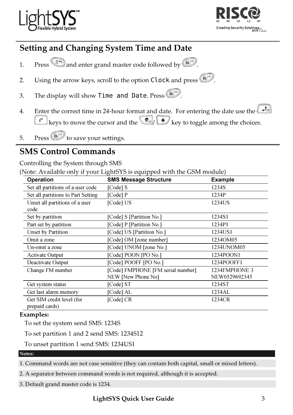



#### Setting and Changing System Time and Date

- 1. Press and enter grand master code followed by  $\left(\frac{m}{n}\right)^{\infty}$ .
- 2. Using the arrow keys, scroll to the option Clock and press  $\left(\frac{d}{d}\right)^{1/2}$ .
- 3. The display will show Time and Date. Press  $\left(\begin{matrix}\infty\\ \infty\end{matrix}\right)$ .
- 4. Enter the correct time in 24-hour format and date. For entering the date use the  $\bigcup_{n=1}^{\infty}$  $\left| \cdot \right|$  keys to move the cursor and the  $\left( \frac{\pi}{\sqrt{2}} \right)$  key to toggle among the choices.
- 5. Press  $\left(\widehat{\mathbf{b}}\right)^{s}$  to save your settings.

### SMS Control Commands

Controlling the System through SMS

(Note: Available only if your LightSYS is equipped with the GSM module)

| Operation                                   | <b>SMS Message Structure</b>      | <b>Example</b> |
|---------------------------------------------|-----------------------------------|----------------|
| Set all partitions of a user code           | [Code] S                          | 1234S          |
| Set all partitions to Part Setting          | $[Code]$ $P$                      | 1234P          |
| Unset all partitions of a user<br>code      | [Code] US                         | 1234US         |
| Set by partition                            | [Code] S [Partition No.]          | 1234S1         |
| Part set by partition                       | [Code] P [Partition No.]          | 1234P1         |
| Unset by Partition                          | [Code] US [Partition No.]         | 1234US1        |
| Omit a zone                                 | [Code] OM [zone number]           | 1234OM05       |
| Un-omit a zone                              | [Code] UNOM [zone No.]            | 1234UNOM05     |
| Activate Output                             | [Code] POON [PO No.]              | 1234POON1      |
| Deactivate Output                           | [Code] POOFF [PO No.]             | 1234POOFF1     |
| Change FM number                            | [Code] FMPHONE [FM serial number] | 1234FMPHONE 3  |
|                                             | NEW [New Phone No]                | NEW0529692345  |
| Get system status                           | [Code] ST                         | 1234ST         |
| Get last alarm memory                       | [Code] AL                         | 1234AL         |
| Get SIM credit level (for<br>prepaid cards) | [Code] CR                         | 1234CR         |

#### Examples:

To set the system send SMS: 1234S

To set partition 1 and 2 send SMS: 1234S12

To unset partition 1 send SMS: 1234US1

#### Notes:

1. Command words are not case sensitive (they can contain both capital, small or mixed letters).

2. A separator between command words is not required, although it is accepted.

3. Default grand master code is 1234.